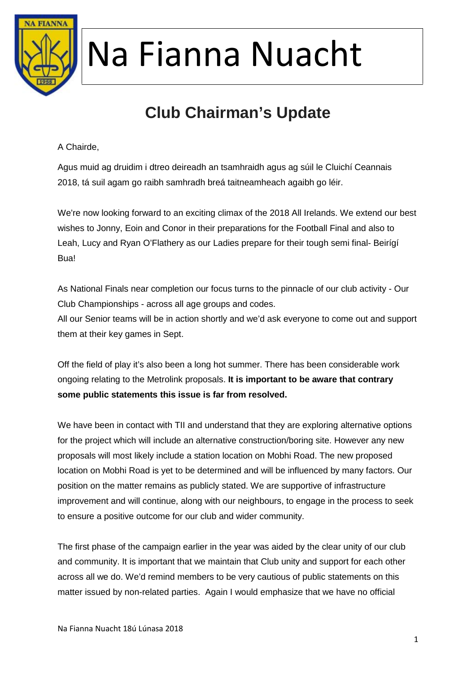

### **Club Chairman's Update**

A Chairde,

Agus muid ag druidim i dtreo deireadh an tsamhraidh agus ag súil le Cluichí Ceannais 2018, tá suil agam go raibh samhradh breá taitneamheach agaibh go léir.

We're now looking forward to an exciting climax of the 2018 All Irelands. We extend our best wishes to Jonny, Eoin and Conor in their preparations for the Football Final and also to Leah, Lucy and Ryan O'Flathery as our Ladies prepare for their tough semi final- Beirígí Bua!

As National Finals near completion our focus turns to the pinnacle of our club activity - Our Club Championships - across all age groups and codes. All our Senior teams will be in action shortly and we'd ask everyone to come out and support them at their key games in Sept.

Off the field of play it's also been a long hot summer. There has been considerable work ongoing relating to the Metrolink proposals. **It is important to be aware that contrary some public statements this issue is far from resolved.**

We have been in contact with TII and understand that they are exploring alternative options for the project which will include an alternative construction/boring site. However any new proposals will most likely include a station location on Mobhi Road. The new proposed location on Mobhi Road is yet to be determined and will be influenced by many factors. Our position on the matter remains as publicly stated. We are supportive of infrastructure improvement and will continue, along with our neighbours, to engage in the process to seek to ensure a positive outcome for our club and wider community.

The first phase of the campaign earlier in the year was aided by the clear unity of our club and community. It is important that we maintain that Club unity and support for each other across all we do. We'd remind members to be very cautious of public statements on this matter issued by non-related parties. Again I would emphasize that we have no official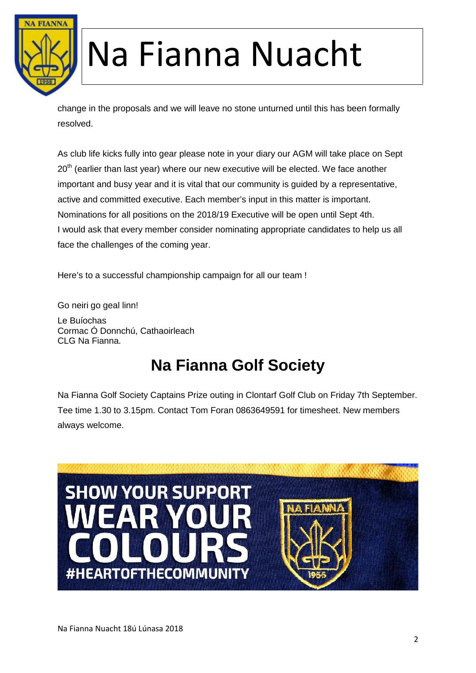

change in the proposals and we will leave no stone unturned until this has been formally resolved.

As club life kicks fully into gear please note in your diary our AGM will take place on Sept 20<sup>th</sup> (earlier than last year) where our new executive will be elected. We face another important and busy year and it is vital that our community is guided by a representative, active and committed executive. Each member's input in this matter is important. Nominations for all positions on the 2018/19 Executive will be open until Sept 4th. I would ask that every member consider nominating appropriate candidates to help us all face the challenges of the coming year.

Here's to a successful championship campaign for all our team !

Go neiri go geal linn! Le Buíochas Cormac Ó Donnchú, Cathaoirleach CLG Na Fianna.

#### **Na Fianna Golf Society**

Na Fianna Golf Society Captains Prize outing in Clontarf Golf Club on Friday 7th September. Tee time 1.30 to 3.15pm. Contact Tom Foran 0863649591 for timesheet. New members always welcome.

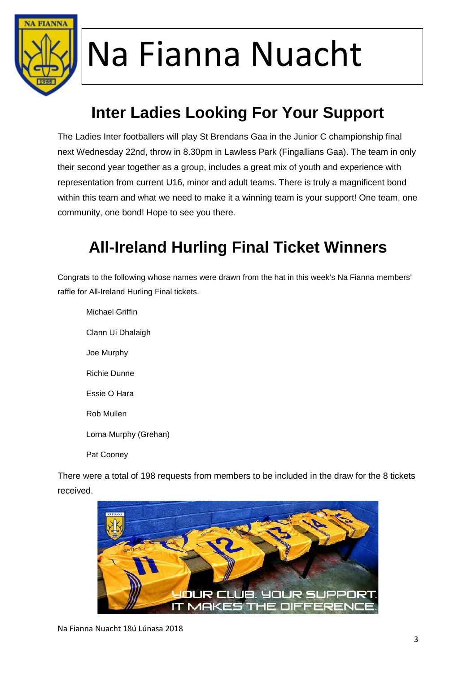

### **Inter Ladies Looking For Your Support**

The Ladies Inter footballers will play St Brendans Gaa in the Junior C championship final next Wednesday 22nd, throw in 8.30pm in Lawless Park (Fingallians Gaa). The team in only their second year together as a group, includes a great mix of youth and experience with representation from current U16, minor and adult teams. There is truly a magnificent bond within this team and what we need to make it a winning team is your support! One team, one community, one bond! Hope to see you there.

#### **All-Ireland Hurling Final Ticket Winners**

Congrats to the following whose names were drawn from the hat in this week's Na Fianna members' raffle for All-Ireland Hurling Final tickets.

Michael Griffin Clann Ui Dhalaigh Joe Murphy Richie Dunne Essie O Hara Rob Mullen Lorna Murphy (Grehan) Pat Cooney

There were a total of 198 requests from members to be included in the draw for the 8 tickets received.

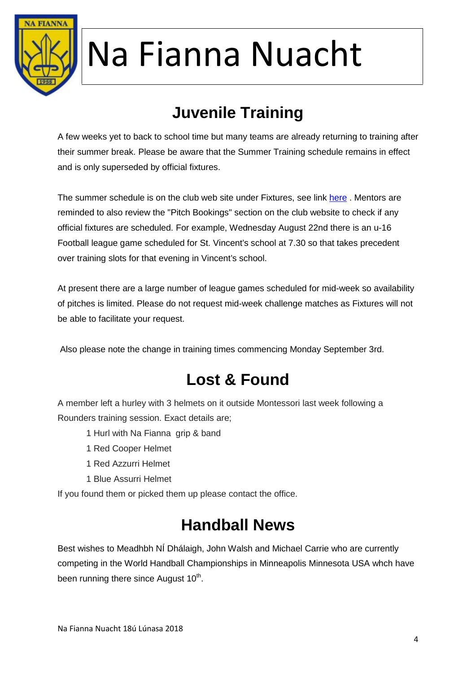

### **Juvenile Training**

A few weeks yet to back to school time but many teams are already returning to training after their summer break. Please be aware that the Summer Training schedule remains in effect and is only superseded by official fixtures.

The summer schedule is on the club web site under Fixtures, see link here. Mentors are reminded to also review the "Pitch Bookings" section on the club website to check if any official fixtures are scheduled. For example, Wednesday August 22nd there is an u-16 Football league game scheduled for St. Vincent's school at 7.30 so that takes precedent over training slots for that evening in Vincent's school.

At present there are a large number of league games scheduled for mid-week so availability of pitches is limited. Please do not request mid-week challenge matches as Fixtures will not be able to facilitate your request.

Also please note the change in training times commencing Monday September 3rd.

#### **Lost & Found**

A member left a hurley with 3 helmets on it outside Montessori last week following a Rounders training session. Exact details are;

1 Hurl with Na Fianna grip & band

- 1 Red Cooper Helmet
- 1 Red Azzurri Helmet
- 1 Blue Assurri Helmet

If you found them or picked them up please contact the office.

#### **Handball News**

Best wishes to Meadhbh NÍ Dhálaigh, John Walsh and Michael Carrie who are currently competing in the World Handball Championships in Minneapolis Minnesota USA whch have been running there since August 10<sup>th</sup>.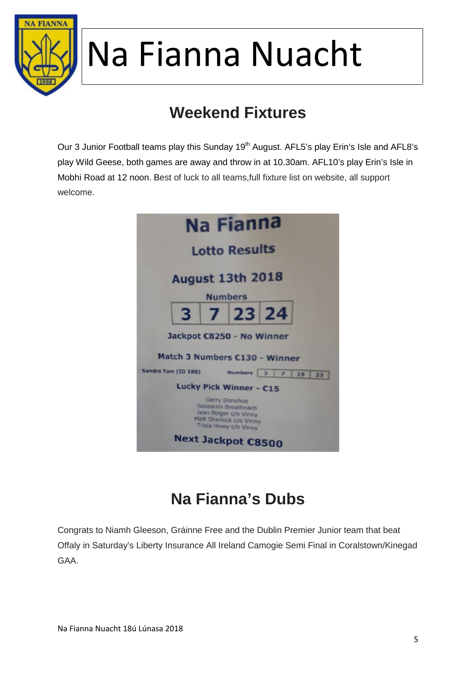

### **Weekend Fixtures**

Our 3 Junior Football teams play this Sunday 19<sup>th</sup> August. AFL5's play Erin's Isle and AFL8's play Wild Geese, both games are away and throw in at 10.30am. AFL10's play Erin's Isle in Mobhi Road at 12 noon. Best of luck to all teams,full fixture list on website, all support welcome.



### **Na Fianna's Dubs**

Congrats to Niamh Gleeson, Gráinne Free and the Dublin Premier Junior team that beat Offaly in Saturday's Liberty Insurance All Ireland Camogie Semi Final in Coralstown/Kinegad GAA.